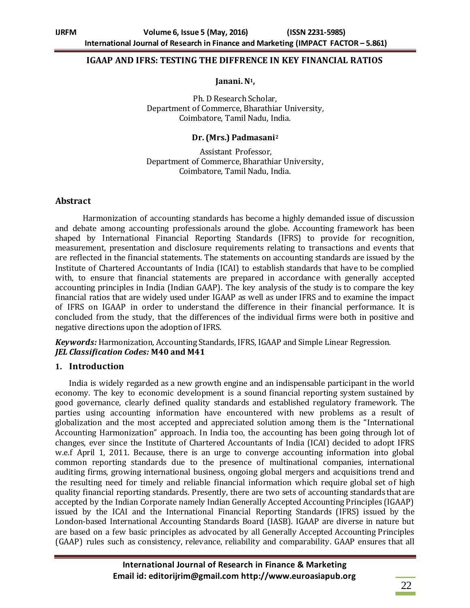#### **IGAAP AND IFRS: TESTING THE DIFFRENCE IN KEY FINANCIAL RATIOS**

#### **Janani. N1,**

Ph. D Research Scholar, Department of Commerce, Bharathiar University, Coimbatore, Tamil Nadu, India.

#### **Dr. (Mrs.) Padmasani<sup>2</sup>**

Assistant Professor, Department of Commerce, Bharathiar University, Coimbatore, Tamil Nadu, India.

### **Abstract**

Harmonization of accounting standards has become a highly demanded issue of discussion and debate among accounting professionals around the globe. Accounting framework has been shaped by International Financial Reporting Standards (IFRS) to provide for recognition, measurement, presentation and disclosure requirements relating to transactions and events that are reflected in the financial statements. The statements on accounting standards are issued by the Institute of Chartered Accountants of India (ICAI) to establish standards that have to be complied with, to ensure that financial statements are prepared in accordance with generally accepted accounting principles in India (Indian GAAP). The key analysis of the study is to compare the key financial ratios that are widely used under IGAAP as well as under IFRS and to examine the impact of IFRS on IGAAP in order to understand the difference in their financial performance. It is concluded from the study, that the differences of the individual firms were both in positive and negative directions upon the adoption of IFRS.

*Keywords:* Harmonization, Accounting Standards, IFRS, IGAAP and Simple Linear Regression. *JEL Classification Codes:* **M40 and M41**

#### **1. Introduction**

India is widely regarded as a new growth engine and an indispensable participant in the world economy. The key to economic development is a sound financial reporting system sustained by good governance, clearly defined quality standards and established regulatory framework. The parties using accounting information have encountered with new problems as a result of globalization and the most accepted and appreciated solution among them is the "International Accounting Harmonization" approach. In India too, the accounting has been going through lot of changes, ever since the Institute of Chartered Accountants of India (ICAI) decided to adopt IFRS w.e.f April 1, 2011. Because, there is an urge to converge accounting information into global common reporting standards due to the presence of multinational companies, international auditing firms, growing international business, ongoing global mergers and acquisitions trend and the resulting need for timely and reliable financial information which require global set of high quality financial reporting standards. Presently, there are two sets of accounting standards that are accepted by the Indian Corporate namely Indian Generally Accepted Accounting Principles (IGAAP) issued by the ICAI and the International Financial Reporting Standards (IFRS) issued by the London-based International Accounting Standards Board (IASB). IGAAP are diverse in nature but are based on a few basic principles as advocated by all Generally Accepted Accounting Principles (GAAP) rules such as consistency, relevance, reliability and comparability. GAAP ensures that all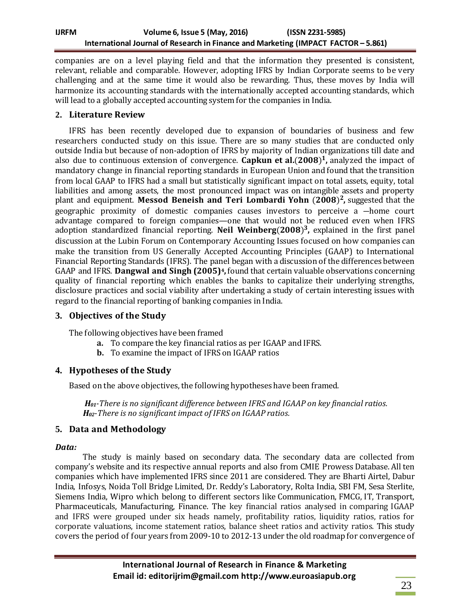# **IJRFM Volume 6, Issue 5 (May, 2016) (ISSN 2231-5985) International Journal of Research in Finance and Marketing (IMPACT FACTOR – 5.861)**

companies are on a level playing field and that the information they presented is consistent, relevant, reliable and comparable. However, adopting IFRS by Indian Corporate seems to be very challenging and at the same time it would also be rewarding. Thus, these moves by India will harmonize its accounting standards with the internationally accepted accounting standards, which will lead to a globally accepted accounting system for the companies in India.

# **2. Literature Review**

IFRS has been recently developed due to expansion of boundaries of business and few researchers conducted study on this issue. There are so many studies that are conducted only outside India but because of non-adoption of IFRS by majority of Indian organizations till date and also due to continuous extension of convergence. Capkun et al. (2008)<sup>1</sup>, analyzed the impact of mandatory change in financial reporting standards in European Union and found that the transition from local GAAP to IFRS had a small but statistically significant impact on total assets, equity, total liabilities and among assets, the most pronounced impact was on intangible assets and property plant and equipment. Messod Beneish and Teri Lombardi Yohn (2008)<sup>2</sup>, suggested that the geographic proximity of domestic companies causes investors to perceive a ―home court advantage compared to foreign companies—one that would not be reduced even when IFRS adoption standardized financial reporting. Neil Weinberg(2008)<sup>3</sup>, explained in the first panel discussion at the Lubin Forum on Contemporary Accounting Issues focused on how companies can make the transition from US Generally Accepted Accounting Principles (GAAP) to International Financial Reporting Standards (IFRS). The panel began with a discussion of the differences between GAAP and IFRS. **Dangwal and Singh (2005)4,** found that certain valuable observations concerning quality of financial reporting which enables the banks to capitalize their underlying strengths, disclosure practices and social viability after undertaking a study of certain interesting issues with regard to the financial reporting of banking companies in India.

# **3. Objectives of the Study**

The following objectives have been framed

- **a.** To compare the key financial ratios as per IGAAP and IFRS.
- **b.** To examine the impact of IFRS on IGAAP ratios

# **4. Hypotheses of the Study**

Based on the above objectives, the following hypotheses have been framed.

*H01-There is no significant difference between IFRS and IGAAP on key financial ratios. H02-There is no significant impact of IFRS on IGAAP ratios.*

# **5. Data and Methodology**

# *Data:*

The study is mainly based on secondary data. The secondary data are collected from company's website and its respective annual reports and also from CMIE Prowess Database. All ten companies which have implemented IFRS since 2011 are considered. They are Bharti Airtel, Dabur India, Infosys, Noida Toll Bridge Limited, Dr. Reddy's Laboratory, Rolta India, SBI FM, Sesa Sterlite, Siemens India, Wipro which belong to different sectors like Communication, FMCG, IT, Transport, Pharmaceuticals, Manufacturing, Finance. The key financial ratios analysed in comparing IGAAP and IFRS were grouped under six heads namely, profitability ratios, liquidity ratios, ratios for corporate valuations, income statement ratios, balance sheet ratios and activity ratios. This study covers the period of four years from 2009-10 to 2012-13 under the old roadmap for convergence of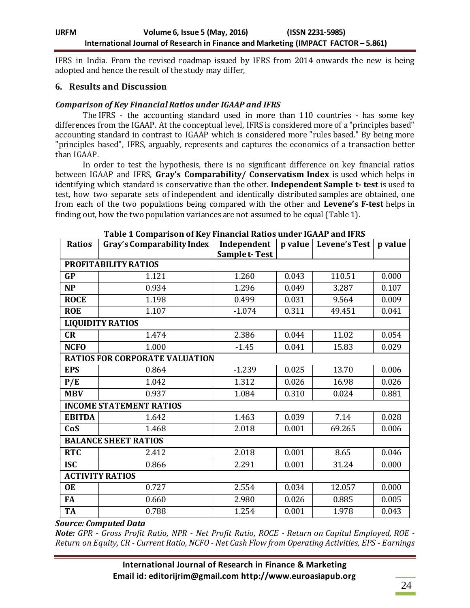IFRS in India. From the revised roadmap issued by IFRS from 2014 onwards the new is being adopted and hence the result of the study may differ,

### **6. Results and Discussion**

### *Comparison of Key Financial Ratios under IGAAP and IFRS*

The IFRS - the accounting standard used in more than 110 countries - has some key differences from the IGAAP. At the conceptual level, IFRS is considered more of a "principles based" accounting standard in contrast to IGAAP which is considered more "rules based." By being more "principles based", IFRS, arguably, represents and captures the economics of a transaction better than IGAAP.

In order to test the hypothesis, there is no significant difference on key financial ratios between IGAAP and IFRS, **Gray's Comparability/ Conservatism Index** is used which helps in identifying which standard is conservative than the other. **Independent Sample t- test** is used to test, how two separate sets of independent and identically distributed samples are obtained, one from each of the two populations being compared with the other and **Levene's F-test** helps in finding out, how the two population variances are not assumed to be equal (Table 1).

| <b>Ratios</b>                         | <b>Gray's Comparability Index</b> | Independent<br><b>Sample t-Test</b> | p value | Levene's Test | p value |  |  |
|---------------------------------------|-----------------------------------|-------------------------------------|---------|---------------|---------|--|--|
| PROFITABILITY RATIOS                  |                                   |                                     |         |               |         |  |  |
| <b>GP</b>                             | 1.121                             | 1.260                               | 0.043   | 110.51        | 0.000   |  |  |
| <b>NP</b>                             | 0.934                             | 1.296                               | 0.049   | 3.287         | 0.107   |  |  |
| <b>ROCE</b>                           | 1.198                             | 0.499                               | 0.031   | 9.564         | 0.009   |  |  |
| <b>ROE</b>                            | 1.107                             | $-1.074$                            | 0.311   | 49.451        | 0.041   |  |  |
| <b>LIQUIDITY RATIOS</b>               |                                   |                                     |         |               |         |  |  |
| CR                                    | 1.474                             | 2.386                               | 0.044   | 11.02         | 0.054   |  |  |
| <b>NCFO</b>                           | 1.000                             | $-1.45$                             | 0.041   | 15.83         | 0.029   |  |  |
| <b>RATIOS FOR CORPORATE VALUATION</b> |                                   |                                     |         |               |         |  |  |
| <b>EPS</b>                            | 0.864                             | $-1.239$                            | 0.025   | 13.70         | 0.006   |  |  |
| P/E                                   | 1.042                             | 1.312                               | 0.026   | 16.98         | 0.026   |  |  |
| <b>MBV</b>                            | 0.937                             | 1.084                               | 0.310   | 0.024         | 0.881   |  |  |
| <b>INCOME STATEMENT RATIOS</b>        |                                   |                                     |         |               |         |  |  |
| <b>EBITDA</b>                         | 1.642                             | 1.463                               | 0.039   | 7.14          | 0.028   |  |  |
| CoS                                   | 1.468                             | 2.018                               | 0.001   | 69.265        | 0.006   |  |  |
| <b>BALANCE SHEET RATIOS</b>           |                                   |                                     |         |               |         |  |  |
| <b>RTC</b>                            | 2.412                             | 2.018                               | 0.001   | 8.65          | 0.046   |  |  |
| <b>ISC</b>                            | 0.866                             | 2.291                               | 0.001   | 31.24         | 0.000   |  |  |
| <b>ACTIVITY RATIOS</b>                |                                   |                                     |         |               |         |  |  |
| <b>OE</b>                             | 0.727                             | 2.554                               | 0.034   | 12.057        | 0.000   |  |  |
| <b>FA</b>                             | 0.660                             | 2.980                               | 0.026   | 0.885         | 0.005   |  |  |
| <b>TA</b>                             | 0.788                             | 1.254                               | 0.001   | 1.978         | 0.043   |  |  |

**Table 1 Comparison of Key Financial Ratios under IGAAP and IFRS**

*Source: Computed Data*

*Note: GPR - Gross Profit Ratio, NPR - Net Profit Ratio, ROCE - Return on Capital Employed, ROE - Return on Equity, CR - Current Ratio, NCFO - Net Cash Flow from Operating Activities, EPS - Earnings*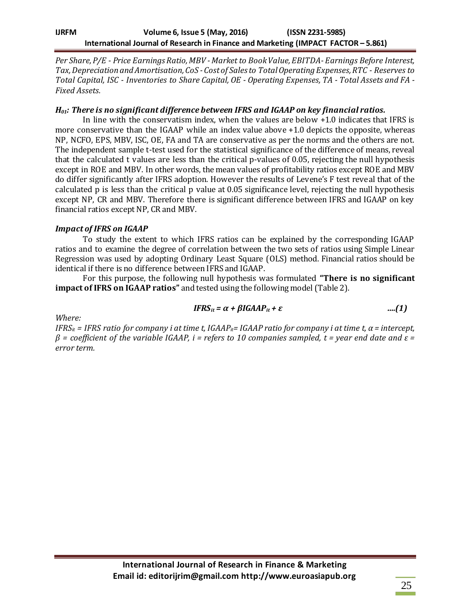*Per Share, P/E - Price Earnings Ratio, MBV -Market to Book Value, EBITDA- Earnings Before Interest, Tax, Depreciation and Amortisation, CoS - Cost of Sales to Total Operating Expenses, RTC - Reserves to Total Capital, ISC - Inventories to Share Capital, OE - Operating Expenses, TA - Total Assets and FA - Fixed Assets.*

### *H01: There is no significant difference between IFRS and IGAAP on key financial ratios.*

In line with the conservatism index, when the values are below +1.0 indicates that IFRS is more conservative than the IGAAP while an index value above +1.0 depicts the opposite, whereas NP, NCFO, EPS, MBV, ISC, OE, FA and TA are conservative as per the norms and the others are not. The independent sample t-test used for the statistical significance of the difference of means, reveal that the calculated t values are less than the critical p-values of 0.05, rejecting the null hypothesis except in ROE and MBV. In other words, the mean values of profitability ratios except ROE and MBV do differ significantly after IFRS adoption. However the results of Levene's F test reveal that of the calculated p is less than the critical p value at 0.05 significance level, rejecting the null hypothesis except NP, CR and MBV. Therefore there is significant difference between IFRS and IGAAP on key financial ratios except NP, CR and MBV.

### *Impact of IFRS on IGAAP*

To study the extent to which IFRS ratios can be explained by the corresponding IGAAP ratios and to examine the degree of correlation between the two sets of ratios using Simple Linear Regression was used by adopting Ordinary Least Square (OLS) method. Financial ratios should be identical if there is no difference between IFRS and IGAAP.

For this purpose, the following null hypothesis was formulated **"There is no significant impact of IFRS on IGAAP ratios"** and tested using the following model (Table 2).

$$
IFRS_{it} = \alpha + \beta IGAAP_{it} + \varepsilon \qquad \qquad \ldots (1)
$$

*Where:* 

*IFRS<sub>it</sub>* = *IFRS* ratio for company *i* at time t, *IGAAP<sub>it</sub>*= *IGAAP* ratio for company *i* at time t,  $\alpha$  = intercept, *β = coefficient of the variable IGAAP, i = refers to 10 companies sampled, t = year end date and ε = error term.*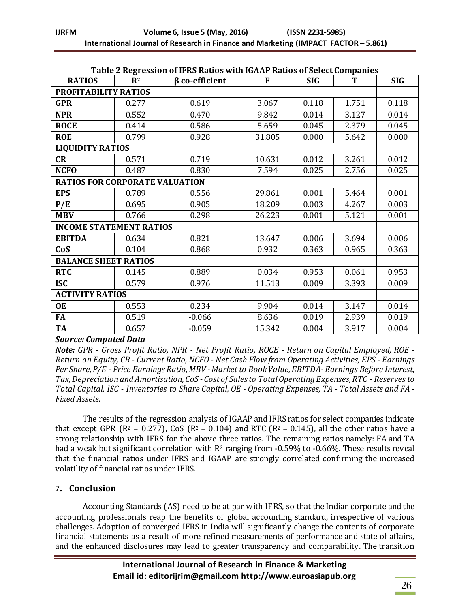|                                       |                | Table 2 Regression of Irks Kauos with IGAAP Kauos of Select Companies |        |            |       |            |
|---------------------------------------|----------------|-----------------------------------------------------------------------|--------|------------|-------|------------|
| <b>RATIOS</b>                         | $\mathbf{R}^2$ | $\beta$ co-efficient                                                  | F      | <b>SIG</b> | T     | <b>SIG</b> |
| PROFITABILITY RATIOS                  |                |                                                                       |        |            |       |            |
| <b>GPR</b>                            | 0.277          | 0.619                                                                 | 3.067  | 0.118      | 1.751 | 0.118      |
| <b>NPR</b>                            | 0.552          | 0.470                                                                 | 9.842  | 0.014      | 3.127 | 0.014      |
| <b>ROCE</b>                           | 0.414          | 0.586                                                                 | 5.659  | 0.045      | 2.379 | 0.045      |
| <b>ROE</b>                            | 0.799          | 0.928                                                                 | 31.805 | 0.000      | 5.642 | 0.000      |
| <b>LIQUIDITY RATIOS</b>               |                |                                                                       |        |            |       |            |
| CR                                    | 0.571          | 0.719                                                                 | 10.631 | 0.012      | 3.261 | 0.012      |
| <b>NCFO</b>                           | 0.487          | 0.830                                                                 | 7.594  | 0.025      | 2.756 | 0.025      |
| <b>RATIOS FOR CORPORATE VALUATION</b> |                |                                                                       |        |            |       |            |
| <b>EPS</b>                            | 0.789          | 0.556                                                                 | 29.861 | 0.001      | 5.464 | 0.001      |
| P/E                                   | 0.695          | 0.905                                                                 | 18.209 | 0.003      | 4.267 | 0.003      |
| <b>MBV</b>                            | 0.766          | 0.298                                                                 | 26.223 | 0.001      | 5.121 | 0.001      |
| <b>INCOME STATEMENT RATIOS</b>        |                |                                                                       |        |            |       |            |
| <b>EBITDA</b>                         | 0.634          | 0.821                                                                 | 13.647 | 0.006      | 3.694 | 0.006      |
| CoS                                   | 0.104          | 0.868                                                                 | 0.932  | 0.363      | 0.965 | 0.363      |
| <b>BALANCE SHEET RATIOS</b>           |                |                                                                       |        |            |       |            |
| <b>RTC</b>                            | 0.145          | 0.889                                                                 | 0.034  | 0.953      | 0.061 | 0.953      |
| <b>ISC</b>                            | 0.579          | 0.976                                                                 | 11.513 | 0.009      | 3.393 | 0.009      |
| <b>ACTIVITY RATIOS</b>                |                |                                                                       |        |            |       |            |
| <b>OE</b>                             | 0.553          | 0.234                                                                 | 9.904  | 0.014      | 3.147 | 0.014      |
| FA                                    | 0.519          | $-0.066$                                                              | 8.636  | 0.019      | 2.939 | 0.019      |
| <b>TA</b>                             | 0.657          | $-0.059$                                                              | 15.342 | 0.004      | 3.917 | 0.004      |

#### **Table 2 Regression of IFRS Ratios with IGAAP Ratios of Select Companies**

#### *Source: Computed Data*

*Note: GPR - Gross Profit Ratio, NPR - Net Profit Ratio, ROCE - Return on Capital Employed, ROE - Return on Equity, CR - Current Ratio, NCFO - Net Cash Flow from Operating Activities, EPS - Earnings Per Share, P/E - Price Earnings Ratio, MBV -Market to Book Value, EBITDA- Earnings Before Interest, Tax, Depreciation and Amortisation, CoS - Cost of Sales to Total Operating Expenses, RTC - Reserves to Total Capital, ISC - Inventories to Share Capital, OE - Operating Expenses, TA - Total Assets and FA - Fixed Assets.*

The results of the regression analysis of IGAAP and IFRS ratios for select companies indicate that except GPR ( $R^2 = 0.277$ ), CoS ( $R^2 = 0.104$ ) and RTC ( $R^2 = 0.145$ ), all the other ratios have a strong relationship with IFRS for the above three ratios. The remaining ratios namely: FA and TA had a weak but significant correlation with  $R^2$  ranging from -0.59% to -0.66%. These results reveal that the financial ratios under IFRS and IGAAP are strongly correlated confirming the increased volatility of financial ratios under IFRS.

# **7. Conclusion**

Accounting Standards (AS) need to be at par with IFRS, so that the Indian corporate and the accounting professionals reap the benefits of global accounting standard, irrespective of various challenges. Adoption of converged IFRS in India will significantly change the contents of corporate financial statements as a result of more refined measurements of performance and state of affairs, and the enhanced disclosures may lead to greater transparency and comparability. The transition